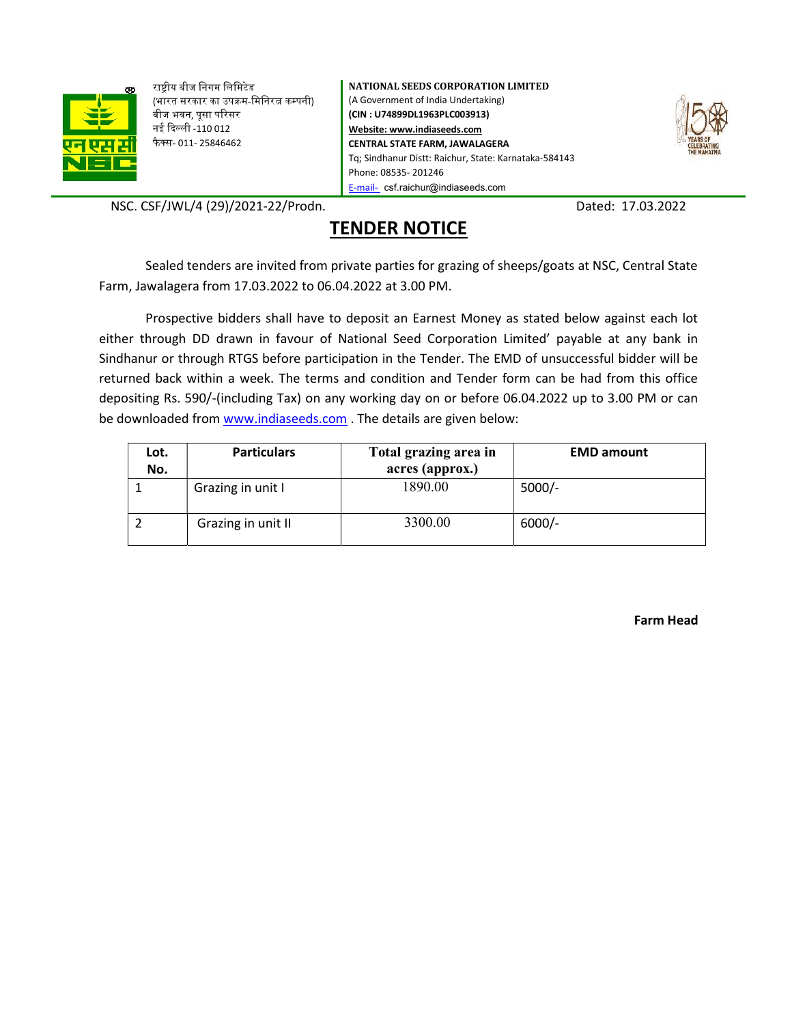

राष्ट्रीय बीज निगम लिमिटेड (भारत सरकार का उपक्रम-मिनिरत्न कम्पनी) बीज भवन, पूसा परिसर नई दिल्ली -110 012 फैक्स- 011- 25846462

NATIONAL SEEDS CORPORATION LIMITED (A Government of India Undertaking) (CIN : U74899DL1963PLC003913) Website: www.indiaseeds.com CENTRAL STATE FARM, JAWALAGERA Tq; Sindhanur Distt: Raichur, State: Karnataka-584143 Phone: 08535- 201246 E-mail- csf.raichur@indiaseeds.com



NSC. CSF/JWL/4 (29)/2021-22/Prodn. Dated: 17.03.2022

# TENDER NOTICE

Sealed tenders are invited from private parties for grazing of sheeps/goats at NSC, Central State Farm, Jawalagera from 17.03.2022 to 06.04.2022 at 3.00 PM.

 Prospective bidders shall have to deposit an Earnest Money as stated below against each lot either through DD drawn in favour of National Seed Corporation Limited' payable at any bank in Sindhanur or through RTGS before participation in the Tender. The EMD of unsuccessful bidder will be returned back within a week. The terms and condition and Tender form can be had from this office depositing Rs. 590/-(including Tax) on any working day on or before 06.04.2022 up to 3.00 PM or can be downloaded from www.indiaseeds.com . The details are given below:

| Lot.<br>No. | <b>Particulars</b> | Total grazing area in<br>acres (approx.) | <b>EMD amount</b> |
|-------------|--------------------|------------------------------------------|-------------------|
|             | Grazing in unit I  | 1890.00                                  | $5000/-$          |
|             | Grazing in unit II | 3300.00                                  | $6000/-$          |

Farm Head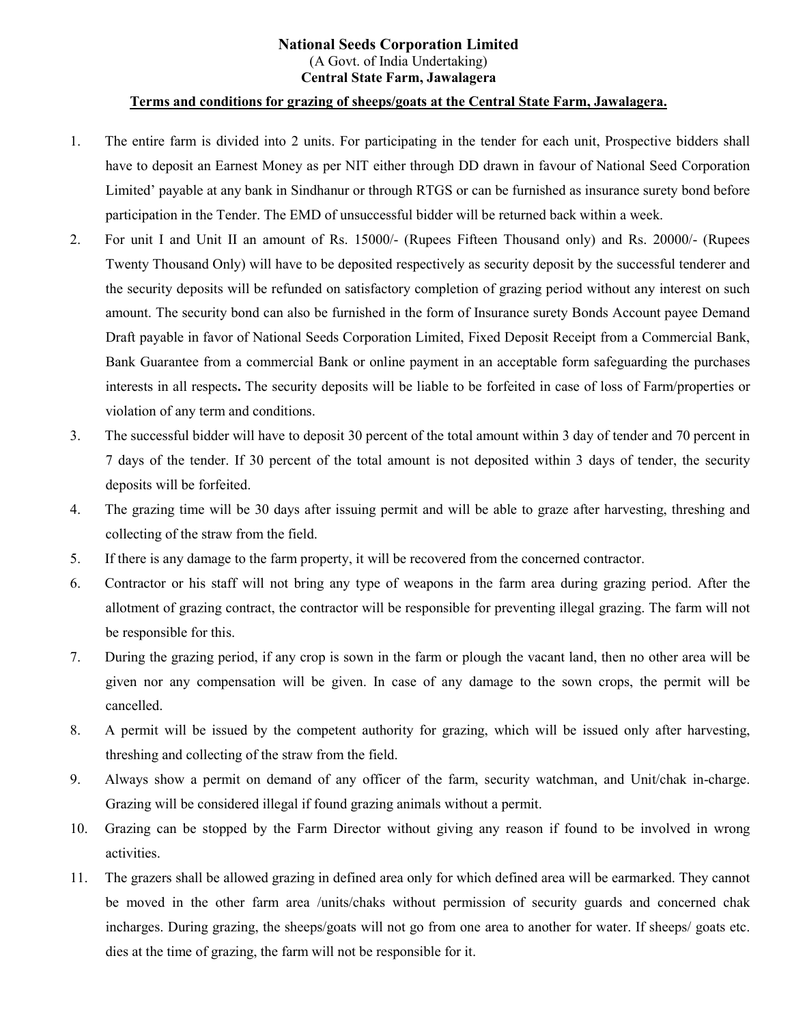## National Seeds Corporation Limited (A Govt. of India Undertaking) Central State Farm, Jawalagera

#### Terms and conditions for grazing of sheeps/goats at the Central State Farm, Jawalagera.

- 1. The entire farm is divided into 2 units. For participating in the tender for each unit, Prospective bidders shall have to deposit an Earnest Money as per NIT either through DD drawn in favour of National Seed Corporation Limited' payable at any bank in Sindhanur or through RTGS or can be furnished as insurance surety bond before participation in the Tender. The EMD of unsuccessful bidder will be returned back within a week.
- 2. For unit I and Unit II an amount of Rs. 15000/- (Rupees Fifteen Thousand only) and Rs. 20000/- (Rupees Twenty Thousand Only) will have to be deposited respectively as security deposit by the successful tenderer and the security deposits will be refunded on satisfactory completion of grazing period without any interest on such amount. The security bond can also be furnished in the form of Insurance surety Bonds Account payee Demand Draft payable in favor of National Seeds Corporation Limited, Fixed Deposit Receipt from a Commercial Bank, Bank Guarantee from a commercial Bank or online payment in an acceptable form safeguarding the purchases interests in all respects. The security deposits will be liable to be forfeited in case of loss of Farm/properties or violation of any term and conditions.
- 3. The successful bidder will have to deposit 30 percent of the total amount within 3 day of tender and 70 percent in 7 days of the tender. If 30 percent of the total amount is not deposited within 3 days of tender, the security deposits will be forfeited.
- 4. The grazing time will be 30 days after issuing permit and will be able to graze after harvesting, threshing and collecting of the straw from the field.
- 5. If there is any damage to the farm property, it will be recovered from the concerned contractor.
- 6. Contractor or his staff will not bring any type of weapons in the farm area during grazing period. After the allotment of grazing contract, the contractor will be responsible for preventing illegal grazing. The farm will not be responsible for this.
- 7. During the grazing period, if any crop is sown in the farm or plough the vacant land, then no other area will be given nor any compensation will be given. In case of any damage to the sown crops, the permit will be cancelled.
- 8. A permit will be issued by the competent authority for grazing, which will be issued only after harvesting, threshing and collecting of the straw from the field.
- 9. Always show a permit on demand of any officer of the farm, security watchman, and Unit/chak in-charge. Grazing will be considered illegal if found grazing animals without a permit.
- 10. Grazing can be stopped by the Farm Director without giving any reason if found to be involved in wrong activities.
- 11. The grazers shall be allowed grazing in defined area only for which defined area will be earmarked. They cannot be moved in the other farm area /units/chaks without permission of security guards and concerned chak incharges. During grazing, the sheeps/goats will not go from one area to another for water. If sheeps/ goats etc. dies at the time of grazing, the farm will not be responsible for it.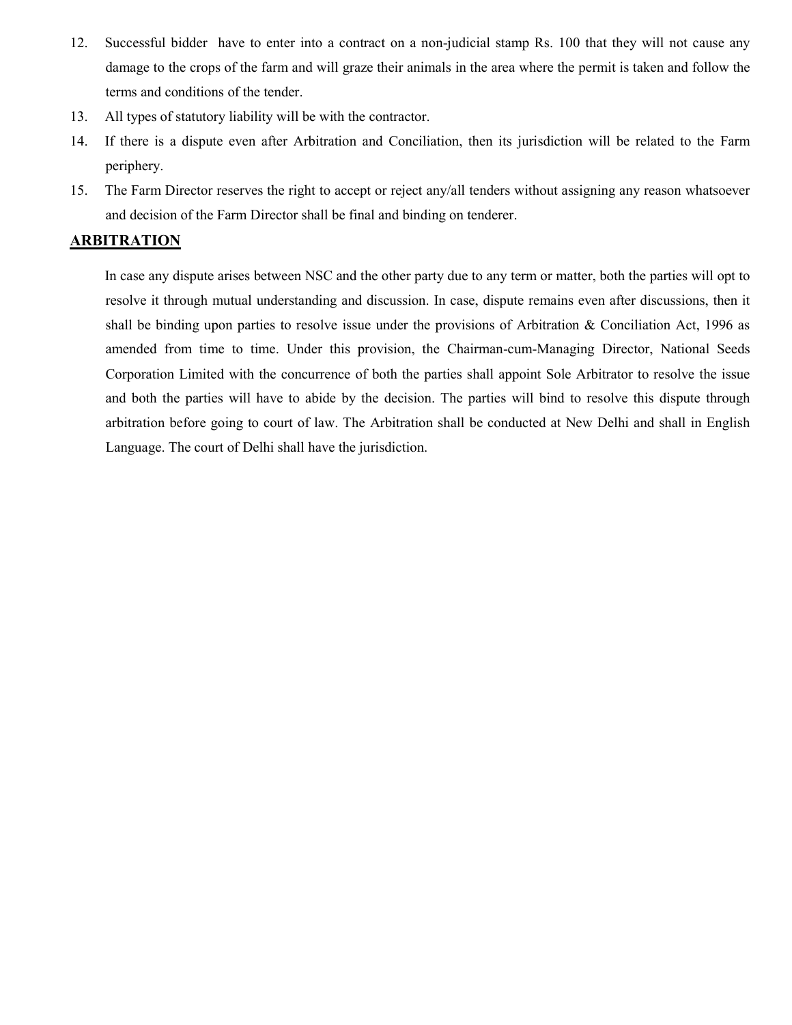- 12. Successful bidder have to enter into a contract on a non-judicial stamp Rs. 100 that they will not cause any damage to the crops of the farm and will graze their animals in the area where the permit is taken and follow the terms and conditions of the tender.
- 13. All types of statutory liability will be with the contractor.
- 14. If there is a dispute even after Arbitration and Conciliation, then its jurisdiction will be related to the Farm periphery.
- 15. The Farm Director reserves the right to accept or reject any/all tenders without assigning any reason whatsoever and decision of the Farm Director shall be final and binding on tenderer.

## ARBITRATION

In case any dispute arises between NSC and the other party due to any term or matter, both the parties will opt to resolve it through mutual understanding and discussion. In case, dispute remains even after discussions, then it shall be binding upon parties to resolve issue under the provisions of Arbitration & Conciliation Act, 1996 as amended from time to time. Under this provision, the Chairman-cum-Managing Director, National Seeds Corporation Limited with the concurrence of both the parties shall appoint Sole Arbitrator to resolve the issue and both the parties will have to abide by the decision. The parties will bind to resolve this dispute through arbitration before going to court of law. The Arbitration shall be conducted at New Delhi and shall in English Language. The court of Delhi shall have the jurisdiction.